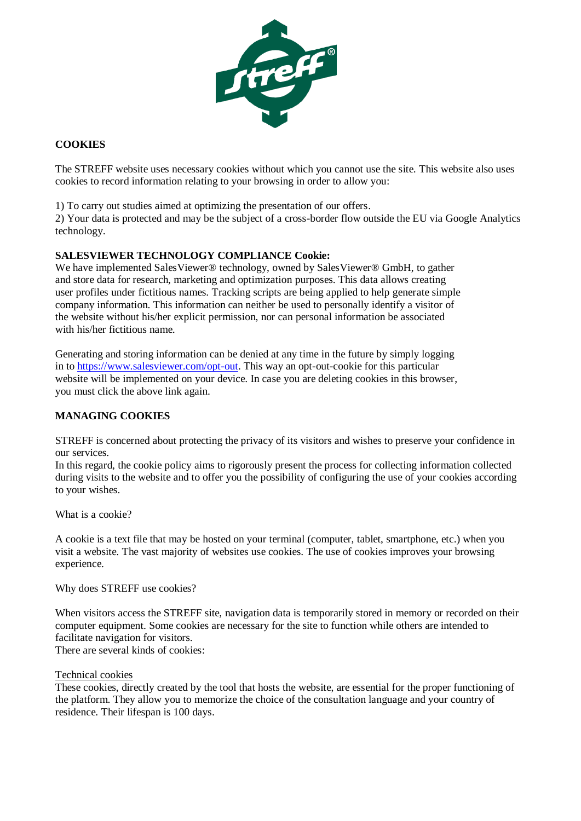

# **COOKIES**

The STREFF website uses necessary cookies without which you cannot use the site. This website also uses cookies to record information relating to your browsing in order to allow you:

1) To carry out studies aimed at optimizing the presentation of our offers.

2) Your data is protected and may be the subject of a cross-border flow outside the EU via Google Analytics technology.

# **SALESVIEWER TECHNOLOGY COMPLIANCE Cookie:**

We have implemented SalesViewer® technology, owned by SalesViewer® GmbH, to gather and store data for research, marketing and optimization purposes. This data allows creating user profiles under fictitious names. Tracking scripts are being applied to help generate simple company information. This information can neither be used to personally identify a visitor of the website without his/her explicit permission, nor can personal information be associated with his/her fictitious name.

Generating and storing information can be denied at any time in the future by simply logging in to [https://www.salesviewer.com/opt-out.](https://www.salesviewer.com/opt-out) This way an opt-out-cookie for this particular website will be implemented on your device. In case you are deleting cookies in this browser, you must click the above link again.

## **MANAGING COOKIES**

STREFF is concerned about protecting the privacy of its visitors and wishes to preserve your confidence in our services.

In this regard, the cookie policy aims to rigorously present the process for collecting information collected during visits to the website and to offer you the possibility of configuring the use of your cookies according to your wishes.

What is a cookie?

A cookie is a text file that may be hosted on your terminal (computer, tablet, smartphone, etc.) when you visit a website. The vast majority of websites use cookies. The use of cookies improves your browsing experience.

Why does STREFF use cookies?

When visitors access the STREFF site, navigation data is temporarily stored in memory or recorded on their computer equipment. Some cookies are necessary for the site to function while others are intended to facilitate navigation for visitors.

There are several kinds of cookies:

#### Technical cookies

These cookies, directly created by the tool that hosts the website, are essential for the proper functioning of the platform. They allow you to memorize the choice of the consultation language and your country of residence. Their lifespan is 100 days.